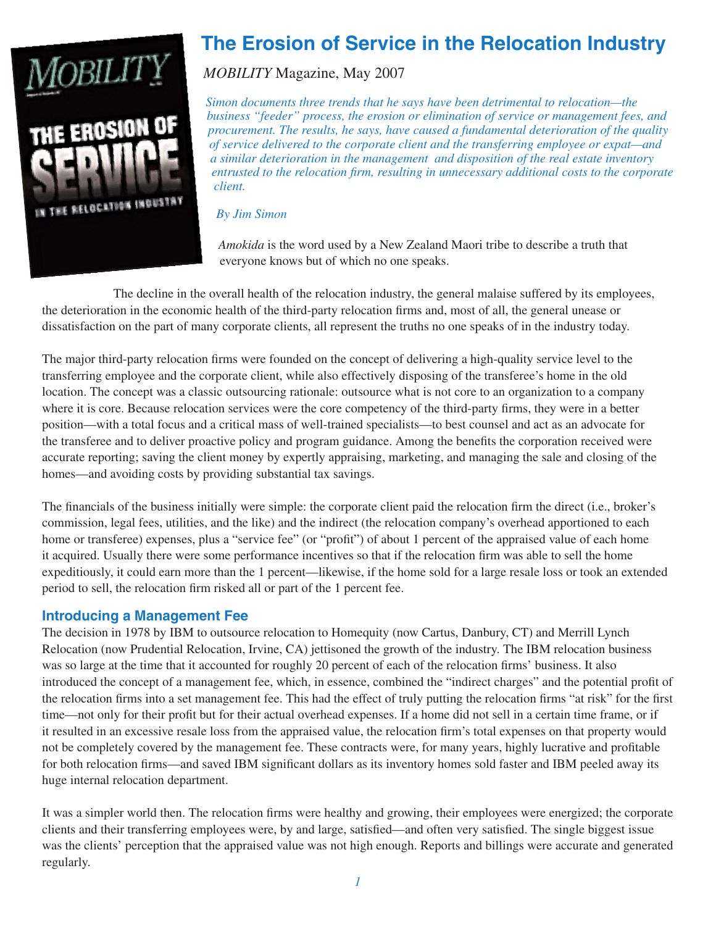

# **The Erosion of Service in the Relocation Industry**

*MOBILITY* Magazine, May 2007

*Simon documents three trends that he says have been detrimental to relocation—the business "feeder" process, the erosion or elimination of service or management fees, and procurement. The results, he says, have caused a fundamental deterioration of the quality of service delivered to the corporate client and the transferring employee or expat—and a similar deterioration in the management and disposition of the real estate inventory entrusted to the relocation firm, resulting in unnecessary additional costs to the corporate client.*

*By Jim Simon*

*Amokida* is the word used by a New Zealand Maori tribe to describe a truth that everyone knows but of which no one speaks.

The decline in the overall health of the relocation industry, the general malaise suffered by its employees, the deterioration in the economic health of the third-party relocation firms and, most of all, the general unease or dissatisfaction on the part of many corporate clients, all represent the truths no one speaks of in the industry today.

The major third-party relocation firms were founded on the concept of delivering a high-quality service level to the transferring employee and the corporate client, while also effectively disposing of the transferee's home in the old location. The concept was a classic outsourcing rationale: outsource what is not core to an organization to a company where it is core. Because relocation services were the core competency of the third-party firms, they were in a better position—with a total focus and a critical mass of well-trained specialists—to best counsel and act as an advocate for the transferee and to deliver proactive policy and program guidance. Among the benefits the corporation received were accurate reporting; saving the client money by expertly appraising, marketing, and managing the sale and closing of the homes—and avoiding costs by providing substantial tax savings.

The financials of the business initially were simple: the corporate client paid the relocation firm the direct (i.e., broker's commission, legal fees, utilities, and the like) and the indirect (the relocation company's overhead apportioned to each home or transferee) expenses, plus a "service fee" (or "profit") of about 1 percent of the appraised value of each home it acquired. Usually there were some performance incentives so that if the relocation firm was able to sell the home expeditiously, it could earn more than the 1 percent—likewise, if the home sold for a large resale loss or took an extended period to sell, the relocation firm risked all or part of the 1 percent fee.

# **Introducing a Management Fee**

The decision in 1978 by IBM to outsource relocation to Homequity (now Cartus, Danbury, CT) and Merrill Lynch Relocation (now Prudential Relocation, Irvine, CA) jettisoned the growth of the industry. The IBM relocation business was so large at the time that it accounted for roughly 20 percent of each of the relocation firms' business. It also introduced the concept of a management fee, which, in essence, combined the "indirect charges" and the potential profit of the relocation firms into a set management fee. This had the effect of truly putting the relocation firms "at risk" for the first time—not only for their profit but for their actual overhead expenses. If a home did not sell in a certain time frame, or if it resulted in an excessive resale loss from the appraised value, the relocation firm's total expenses on that property would not be completely covered by the management fee. These contracts were, for many years, highly lucrative and profitable for both relocation firms—and saved IBM significant dollars as its inventory homes sold faster and IBM peeled away its huge internal relocation department.

It was a simpler world then. The relocation firms were healthy and growing, their employees were energized; the corporate clients and their transferring employees were, by and large, satisfied—and often very satisfied. The single biggest issue was the clients' perception that the appraised value was not high enough. Reports and billings were accurate and generated regularly.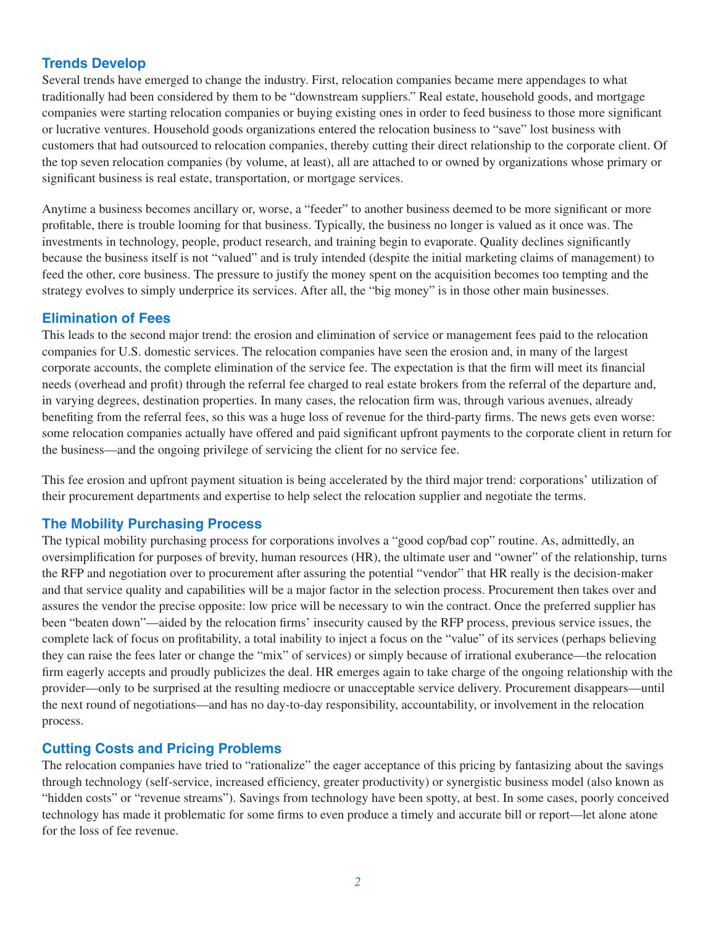### **Trends Develop**

Several trends have emerged to change the industry. First, relocation companies became mere appendages to what traditionally had been considered by them to be "downstream suppliers." Real estate, household goods, and mortgage companies were starting relocation companies or buying existing ones in order to feed business to those more significant or lucrative ventures. Household goods organizations entered the relocation business to "save" lost business with customers that had outsourced to relocation companies, thereby cutting their direct relationship to the corporate client. Of the top seven relocation companies (by volume, at least), all are attached to or owned by organizations whose primary or significant business is real estate, transportation, or mortgage services.

Anytime a business becomes ancillary or, worse, a "feeder" to another business deemed to be more significant or more profitable, there is trouble looming for that business. Typically, the business no longer is valued as it once was. The investments in technology, people, product research, and training begin to evaporate. Quality declines significantly because the business itself is not "valued" and is truly intended (despite the initial marketing claims of management) to feed the other, core business. The pressure to justify the money spent on the acquisition becomes too tempting and the strategy evolves to simply underprice its services. After all, the "big money" is in those other main businesses.

#### **Elimination of Fees**

This leads to the second major trend: the erosion and elimination of service or management fees paid to the relocation companies for U.S. domestic services. The relocation companies have seen the erosion and, in many of the largest corporate accounts, the complete elimination of the service fee. The expectation is that the firm will meet its financial needs (overhead and profit) through the referral fee charged to real estate brokers from the referral of the departure and, in varying degrees, destination properties. In many cases, the relocation firm was, through various avenues, already benefiting from the referral fees, so this was a huge loss of revenue for the third-party firms. The news gets even worse: some relocation companies actually have offered and paid significant upfront payments to the corporate client in return for the business—and the ongoing privilege of servicing the client for no service fee.

This fee erosion and upfront payment situation is being accelerated by the third major trend: corporations' utilization of their procurement departments and expertise to help select the relocation supplier and negotiate the terms.

#### **The Mobility Purchasing Process**

The typical mobility purchasing process for corporations involves a "good cop/bad cop" routine. As, admittedly, an oversimplification for purposes of brevity, human resources (HR), the ultimate user and "owner" of the relationship, turns the RFP and negotiation over to procurement after assuring the potential "vendor" that HR really is the decision-maker and that service quality and capabilities will be a major factor in the selection process. Procurement then takes over and assures the vendor the precise opposite: low price will be necessary to win the contract. Once the preferred supplier has been "beaten down"—aided by the relocation firms' insecurity caused by the RFP process, previous service issues, the complete lack of focus on profitability, a total inability to inject a focus on the "value" of its services (perhaps believing they can raise the fees later or change the "mix" of services) or simply because of irrational exuberance—the relocation firm eagerly accepts and proudly publicizes the deal. HR emerges again to take charge of the ongoing relationship with the provider—only to be surprised at the resulting mediocre or unacceptable service delivery. Procurement disappears—until the next round of negotiations—and has no day-to-day responsibility, accountability, or involvement in the relocation process.

#### **Cutting Costs and Pricing Problems**

The relocation companies have tried to "rationalize" the eager acceptance of this pricing by fantasizing about the savings through technology (self-service, increased efficiency, greater productivity) or synergistic business model (also known as "hidden costs" or "revenue streams"). Savings from technology have been spotty, at best. In some cases, poorly conceived technology has made it problematic for some firms to even produce a timely and accurate bill or report—let alone atone for the loss of fee revenue.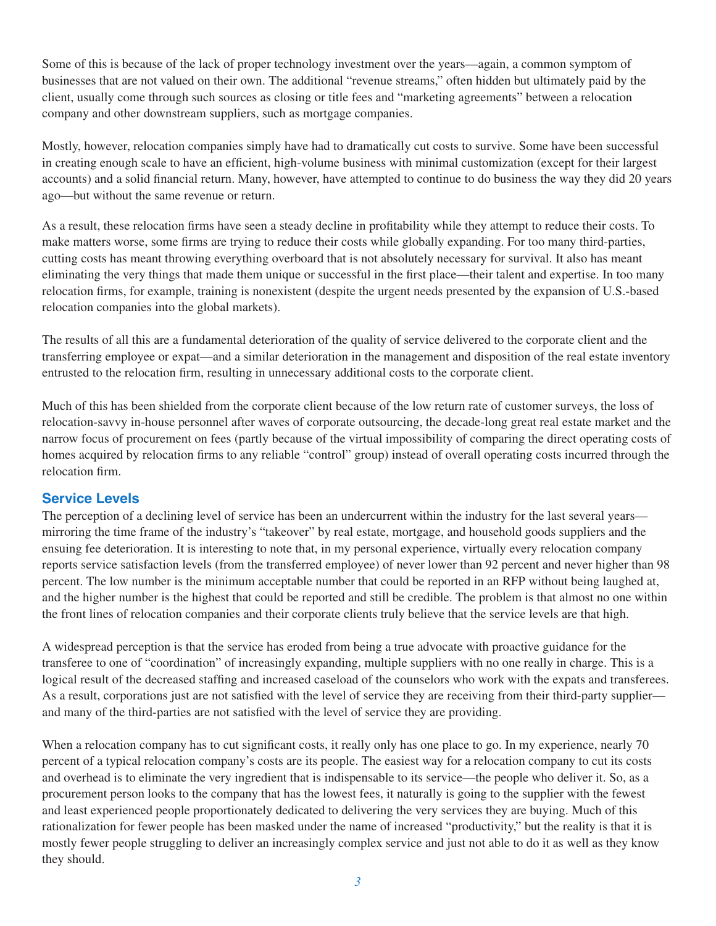Some of this is because of the lack of proper technology investment over the years—again, a common symptom of businesses that are not valued on their own. The additional "revenue streams," often hidden but ultimately paid by the client, usually come through such sources as closing or title fees and "marketing agreements" between a relocation company and other downstream suppliers, such as mortgage companies.

Mostly, however, relocation companies simply have had to dramatically cut costs to survive. Some have been successful in creating enough scale to have an efficient, high-volume business with minimal customization (except for their largest accounts) and a solid financial return. Many, however, have attempted to continue to do business the way they did 20 years ago—but without the same revenue or return.

As a result, these relocation firms have seen a steady decline in profitability while they attempt to reduce their costs. To make matters worse, some firms are trying to reduce their costs while globally expanding. For too many third-parties, cutting costs has meant throwing everything overboard that is not absolutely necessary for survival. It also has meant eliminating the very things that made them unique or successful in the first place—their talent and expertise. In too many relocation firms, for example, training is nonexistent (despite the urgent needs presented by the expansion of U.S.-based relocation companies into the global markets).

The results of all this are a fundamental deterioration of the quality of service delivered to the corporate client and the transferring employee or expat—and a similar deterioration in the management and disposition of the real estate inventory entrusted to the relocation firm, resulting in unnecessary additional costs to the corporate client.

Much of this has been shielded from the corporate client because of the low return rate of customer surveys, the loss of relocation-savvy in-house personnel after waves of corporate outsourcing, the decade-long great real estate market and the narrow focus of procurement on fees (partly because of the virtual impossibility of comparing the direct operating costs of homes acquired by relocation firms to any reliable "control" group) instead of overall operating costs incurred through the relocation firm.

#### **Service Levels**

The perception of a declining level of service has been an undercurrent within the industry for the last several years mirroring the time frame of the industry's "takeover" by real estate, mortgage, and household goods suppliers and the ensuing fee deterioration. It is interesting to note that, in my personal experience, virtually every relocation company reports service satisfaction levels (from the transferred employee) of never lower than 92 percent and never higher than 98 percent. The low number is the minimum acceptable number that could be reported in an RFP without being laughed at, and the higher number is the highest that could be reported and still be credible. The problem is that almost no one within the front lines of relocation companies and their corporate clients truly believe that the service levels are that high.

A widespread perception is that the service has eroded from being a true advocate with proactive guidance for the transferee to one of "coordination" of increasingly expanding, multiple suppliers with no one really in charge. This is a logical result of the decreased staffing and increased caseload of the counselors who work with the expats and transferees. As a result, corporations just are not satisfied with the level of service they are receiving from their third-party supplier and many of the third-parties are not satisfied with the level of service they are providing.

When a relocation company has to cut significant costs, it really only has one place to go. In my experience, nearly 70 percent of a typical relocation company's costs are its people. The easiest way for a relocation company to cut its costs and overhead is to eliminate the very ingredient that is indispensable to its service—the people who deliver it. So, as a procurement person looks to the company that has the lowest fees, it naturally is going to the supplier with the fewest and least experienced people proportionately dedicated to delivering the very services they are buying. Much of this rationalization for fewer people has been masked under the name of increased "productivity," but the reality is that it is mostly fewer people struggling to deliver an increasingly complex service and just not able to do it as well as they know they should.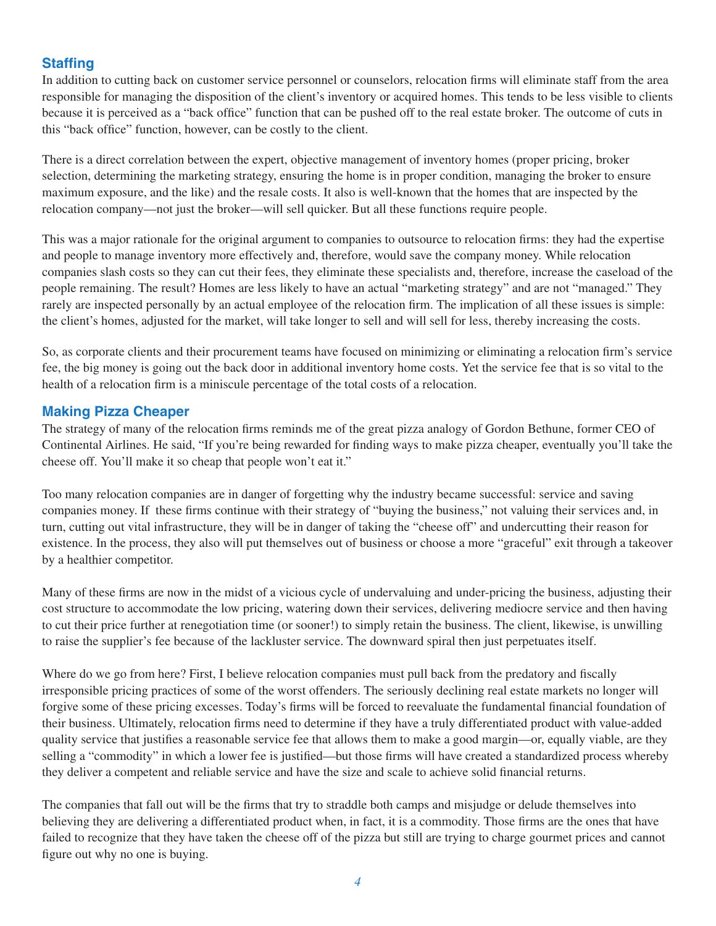# **Staffing**

In addition to cutting back on customer service personnel or counselors, relocation firms will eliminate staff from the area responsible for managing the disposition of the client's inventory or acquired homes. This tends to be less visible to clients because it is perceived as a "back office" function that can be pushed off to the real estate broker. The outcome of cuts in this "back office" function, however, can be costly to the client.

There is a direct correlation between the expert, objective management of inventory homes (proper pricing, broker selection, determining the marketing strategy, ensuring the home is in proper condition, managing the broker to ensure maximum exposure, and the like) and the resale costs. It also is well-known that the homes that are inspected by the relocation company—not just the broker—will sell quicker. But all these functions require people.

This was a major rationale for the original argument to companies to outsource to relocation firms: they had the expertise and people to manage inventory more effectively and, therefore, would save the company money. While relocation companies slash costs so they can cut their fees, they eliminate these specialists and, therefore, increase the caseload of the people remaining. The result? Homes are less likely to have an actual "marketing strategy" and are not "managed." They rarely are inspected personally by an actual employee of the relocation firm. The implication of all these issues is simple: the client's homes, adjusted for the market, will take longer to sell and will sell for less, thereby increasing the costs.

So, as corporate clients and their procurement teams have focused on minimizing or eliminating a relocation firm's service fee, the big money is going out the back door in additional inventory home costs. Yet the service fee that is so vital to the health of a relocation firm is a miniscule percentage of the total costs of a relocation.

# **Making Pizza Cheaper**

The strategy of many of the relocation firms reminds me of the great pizza analogy of Gordon Bethune, former CEO of Continental Airlines. He said, "If you're being rewarded for finding ways to make pizza cheaper, eventually you'll take the cheese off. You'll make it so cheap that people won't eat it."

Too many relocation companies are in danger of forgetting why the industry became successful: service and saving companies money. If these firms continue with their strategy of "buying the business," not valuing their services and, in turn, cutting out vital infrastructure, they will be in danger of taking the "cheese off" and undercutting their reason for existence. In the process, they also will put themselves out of business or choose a more "graceful" exit through a takeover by a healthier competitor.

Many of these firms are now in the midst of a vicious cycle of undervaluing and under-pricing the business, adjusting their cost structure to accommodate the low pricing, watering down their services, delivering mediocre service and then having to cut their price further at renegotiation time (or sooner!) to simply retain the business. The client, likewise, is unwilling to raise the supplier's fee because of the lackluster service. The downward spiral then just perpetuates itself.

Where do we go from here? First, I believe relocation companies must pull back from the predatory and fiscally irresponsible pricing practices of some of the worst offenders. The seriously declining real estate markets no longer will forgive some of these pricing excesses. Today's firms will be forced to reevaluate the fundamental financial foundation of their business. Ultimately, relocation firms need to determine if they have a truly differentiated product with value-added quality service that justifies a reasonable service fee that allows them to make a good margin—or, equally viable, are they selling a "commodity" in which a lower fee is justified—but those firms will have created a standardized process whereby they deliver a competent and reliable service and have the size and scale to achieve solid financial returns.

The companies that fall out will be the firms that try to straddle both camps and misjudge or delude themselves into believing they are delivering a differentiated product when, in fact, it is a commodity. Those firms are the ones that have failed to recognize that they have taken the cheese off of the pizza but still are trying to charge gourmet prices and cannot figure out why no one is buying.